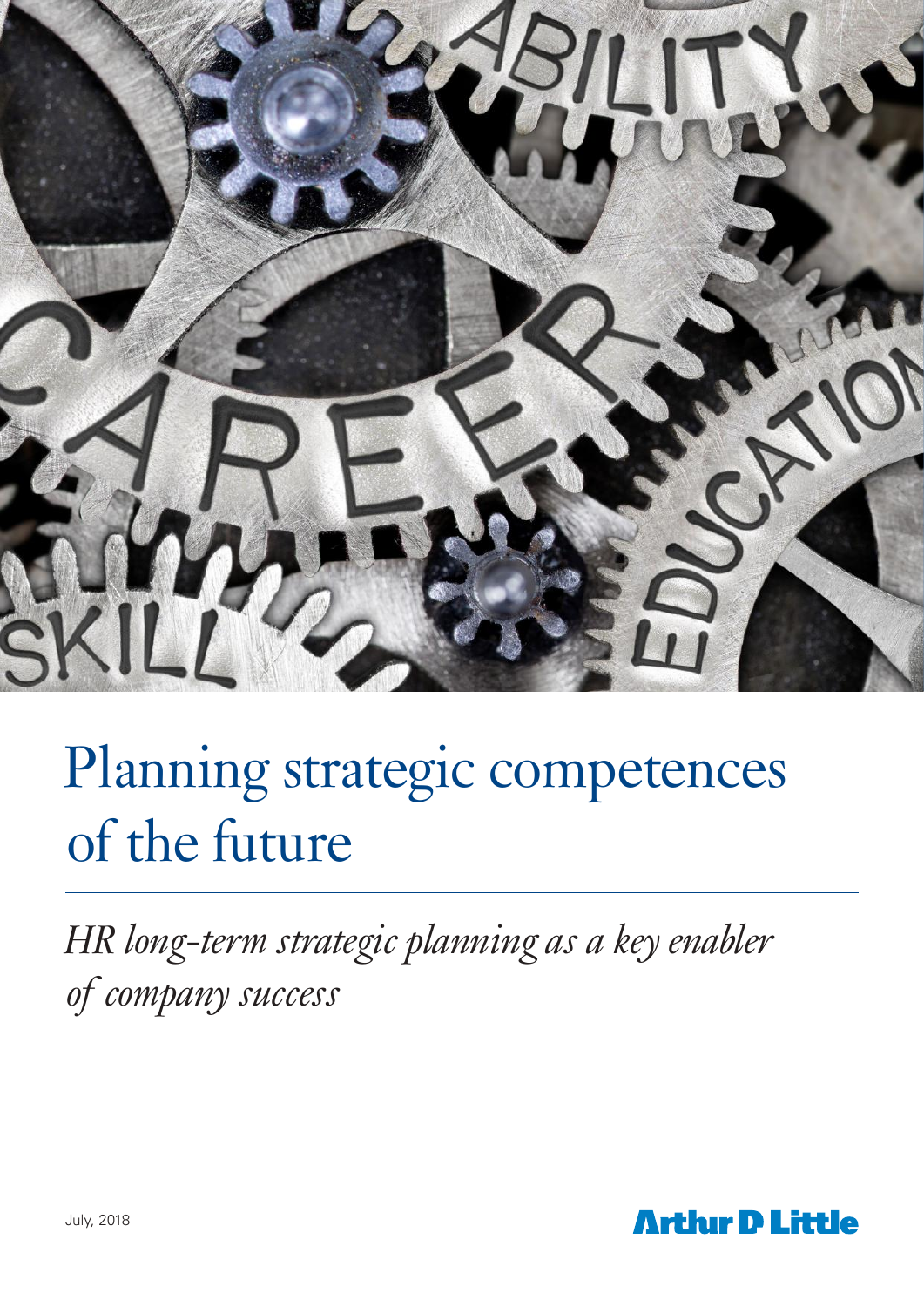

# Planning strategic competences of the future

*HR long-term strategic planning as a key enabler of company success*

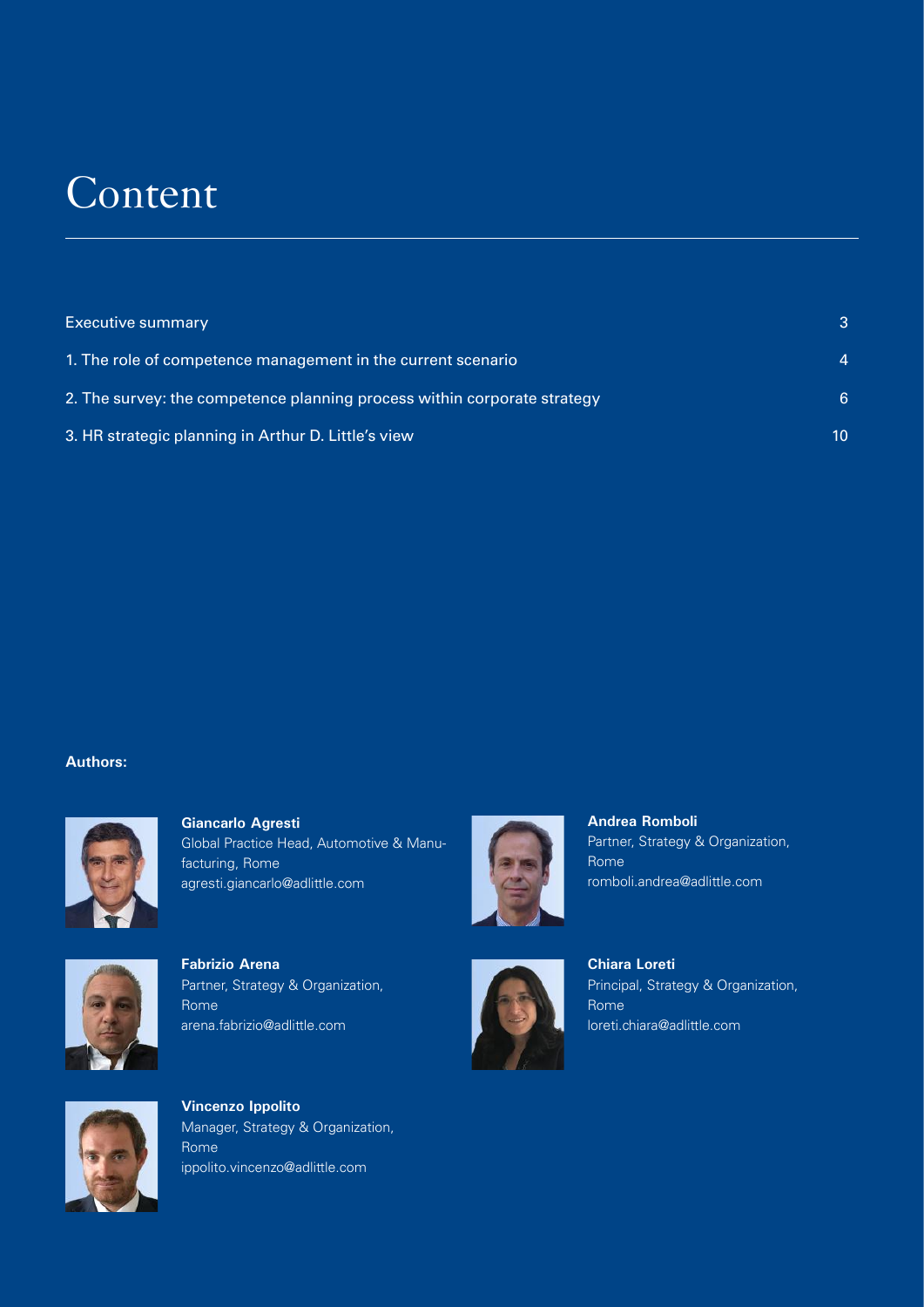## **Content**

| <b>Executive summary</b>                                                 | 3  |
|--------------------------------------------------------------------------|----|
| 1. The role of competence management in the current scenario             |    |
| 2. The survey: the competence planning process within corporate strategy | 6  |
| 3. HR strategic planning in Arthur D. Little's view                      | 10 |

#### **Authors:**



**Giancarlo Agresti** Global Practice Head, Automotive & Manufacturing, Rome agresti.giancarlo@adlittle.com



**Andrea Romboli** Partner, Strategy & Organization, Rome romboli.andrea@adlittle.com



**Fabrizio Arena** Partner, Strategy & Organization, Rome arena.fabrizio@adlittle.com



**Chiara Loreti**  Principal, Strategy & Organization, Rome loreti.chiara@adlittle.com



**Vincenzo Ippolito**  Manager, Strategy & Organization, Rome ippolito.vincenzo@adlittle.com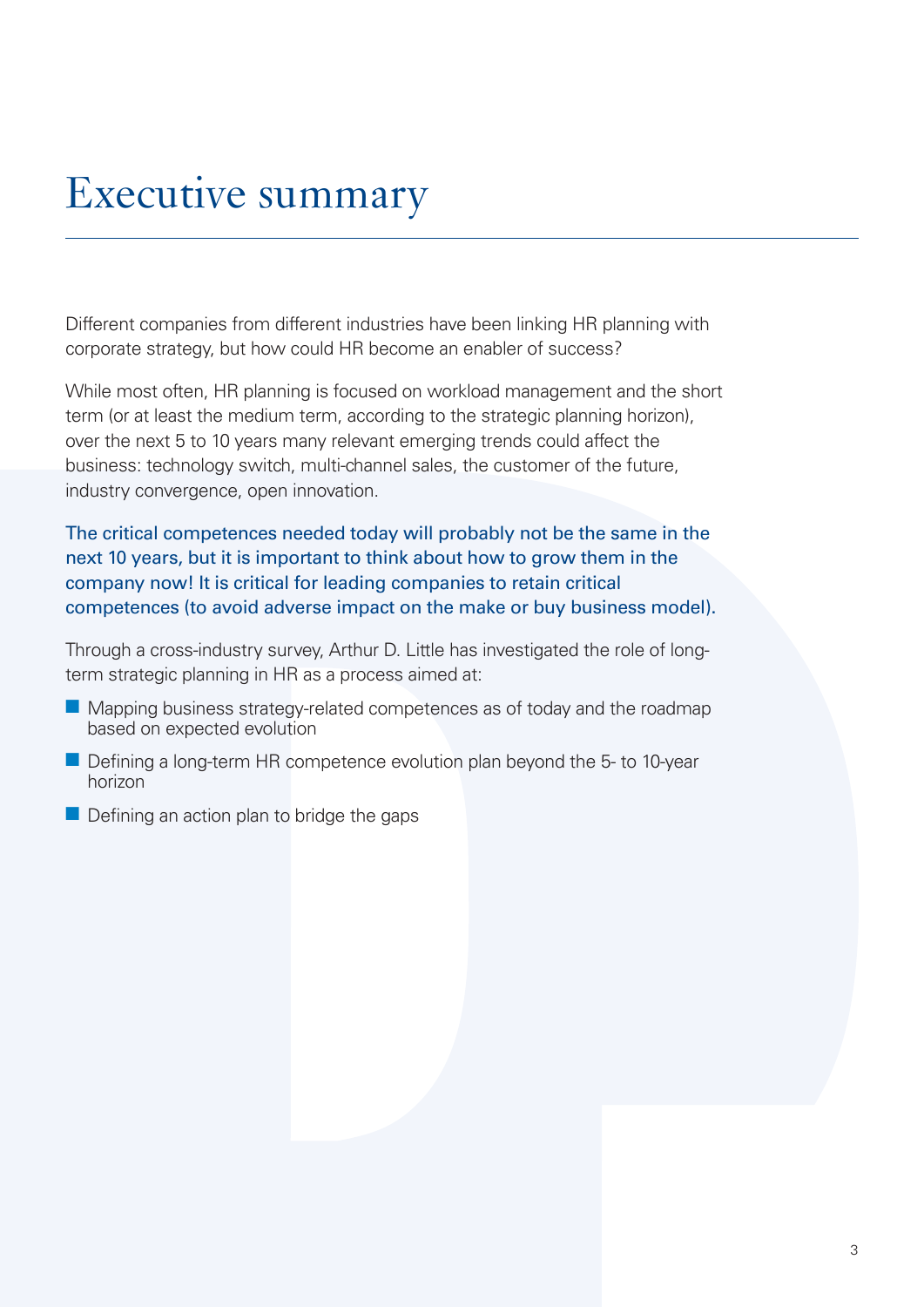## Executive summary

Different companies from different industries have been linking HR planning with corporate strategy, but how could HR become an enabler of success?

While most often, HR planning is focused on workload management and the short term (or at least the medium term, according to the strategic planning horizon), over the next 5 to 10 years many relevant emerging trends could affect the business: technology switch, multi-channel sales, the customer of the future, industry convergence, open innovation.

The critical competences needed today will probably not be the same in the next 10 years, but it is important to think about how to grow them in the company now! It is critical for leading companies to retain critical competences (to avoid adverse impact on the make or buy business model).

Through a cross-industry survey, Arthur D. Little has investigated the role of longterm strategic planning in HR as a process aimed at:

- $\blacksquare$  Mapping business strategy-related competences as of today and the roadmap based on expected evolution
- Defining a long-term HR competence evolution plan beyond the 5- to 10-year horizon
- $\blacksquare$  Defining an action plan to bridge the gaps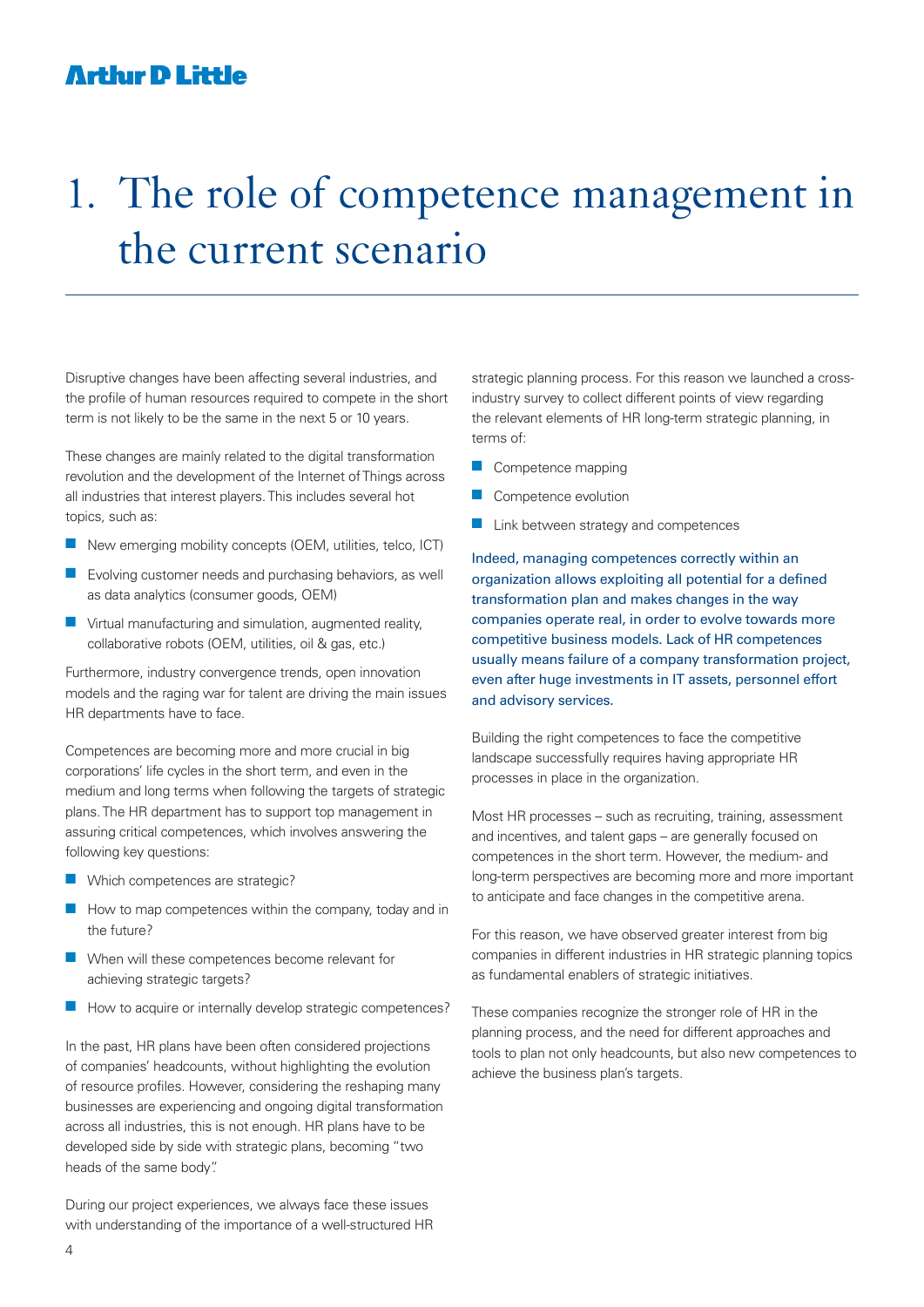### **Arthur D Little**

## 1. The role of competence management in the current scenario

Disruptive changes have been affecting several industries, and the profile of human resources required to compete in the short term is not likely to be the same in the next 5 or 10 years.

These changes are mainly related to the digital transformation revolution and the development of the Internet of Things across all industries that interest players. This includes several hot topics, such as:

- $\blacksquare$  New emerging mobility concepts (OEM, utilities, telco, ICT)
- $\blacksquare$  Evolving customer needs and purchasing behaviors, as well as data analytics (consumer goods, OEM)
- $\blacksquare$  Virtual manufacturing and simulation, augmented reality, collaborative robots (OEM, utilities, oil & gas, etc.)

Furthermore, industry convergence trends, open innovation models and the raging war for talent are driving the main issues HR departments have to face.

Competences are becoming more and more crucial in big corporations' life cycles in the short term, and even in the medium and long terms when following the targets of strategic plans. The HR department has to support top management in assuring critical competences, which involves answering the following key questions:

- $\blacksquare$  Which competences are strategic?
- $\blacksquare$  How to map competences within the company, today and in the future?
- $\blacksquare$  When will these competences become relevant for achieving strategic targets?
- $\blacksquare$  How to acquire or internally develop strategic competences?

In the past, HR plans have been often considered projections of companies' headcounts, without highlighting the evolution of resource profiles. However, considering the reshaping many businesses are experiencing and ongoing digital transformation across all industries, this is not enough. HR plans have to be developed side by side with strategic plans, becoming "two heads of the same body".

During our project experiences, we always face these issues with understanding of the importance of a well-structured HR strategic planning process. For this reason we launched a crossindustry survey to collect different points of view regarding the relevant elements of HR long-term strategic planning, in terms of:

- **n** Competence mapping
- **n** Competence evolution
- $\blacksquare$  Link between strategy and competences

Indeed, managing competences correctly within an organization allows exploiting all potential for a defined transformation plan and makes changes in the way companies operate real, in order to evolve towards more competitive business models. Lack of HR competences usually means failure of a company transformation project, even after huge investments in IT assets, personnel effort and advisory services.

Building the right competences to face the competitive landscape successfully requires having appropriate HR processes in place in the organization.

Most HR processes – such as recruiting, training, assessment and incentives, and talent gaps – are generally focused on competences in the short term. However, the medium- and long-term perspectives are becoming more and more important to anticipate and face changes in the competitive arena.

For this reason, we have observed greater interest from big companies in different industries in HR strategic planning topics as fundamental enablers of strategic initiatives.

These companies recognize the stronger role of HR in the planning process, and the need for different approaches and tools to plan not only headcounts, but also new competences to achieve the business plan's targets.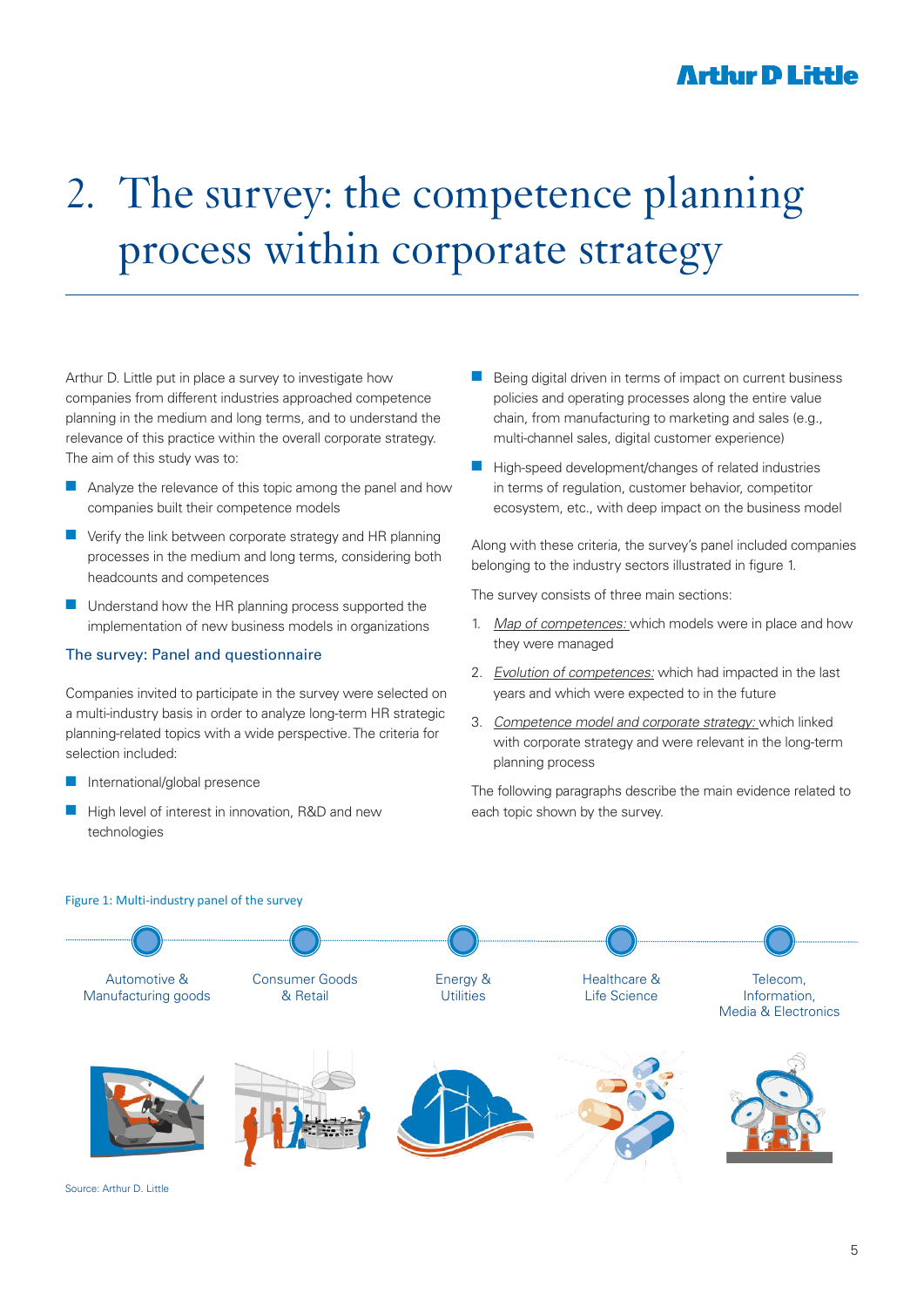### **Arthır D Little**

## 2. The survey: the competence planning process within corporate strategy

Arthur D. Little put in place a survey to investigate how companies from different industries approached competence planning in the medium and long terms, and to understand the relevance of this practice within the overall corporate strategy. The aim of this study was to:

- $\blacksquare$  Analyze the relevance of this topic among the panel and how companies built their competence models
- $\blacksquare$  Verify the link between corporate strategy and HR planning processes in the medium and long terms, considering both headcounts and competences
- $\blacksquare$  Understand how the HR planning process supported the implementation of new business models in organizations

#### The survey: Panel and questionnaire

Companies invited to participate in the survey were selected on a multi-industry basis in order to analyze long-term HR strategic planning-related topics with a wide perspective. The criteria for selection included:

- $\blacksquare$  International/global presence
- High level of interest in innovation, R&D and new technologies
- Being digital driven in terms of impact on current business policies and operating processes along the entire value chain, from manufacturing to marketing and sales (e.g., multi-channel sales, digital customer experience)
- $\blacksquare$  High-speed development/changes of related industries in terms of regulation, customer behavior, competitor ecosystem, etc., with deep impact on the business model

Along with these criteria, the survey's panel included companies belonging to the industry sectors illustrated in figure 1.

The survey consists of three main sections:

- 1. Map of competences: which models were in place and how they were managed
- 2. Evolution of competences: which had impacted in the last years and which were expected to in the future
- 3. Competence model and corporate strategy: which linked with corporate strategy and were relevant in the long-term planning process

The following paragraphs describe the main evidence related to each topic shown by the survey.



Source: Arthur D. Little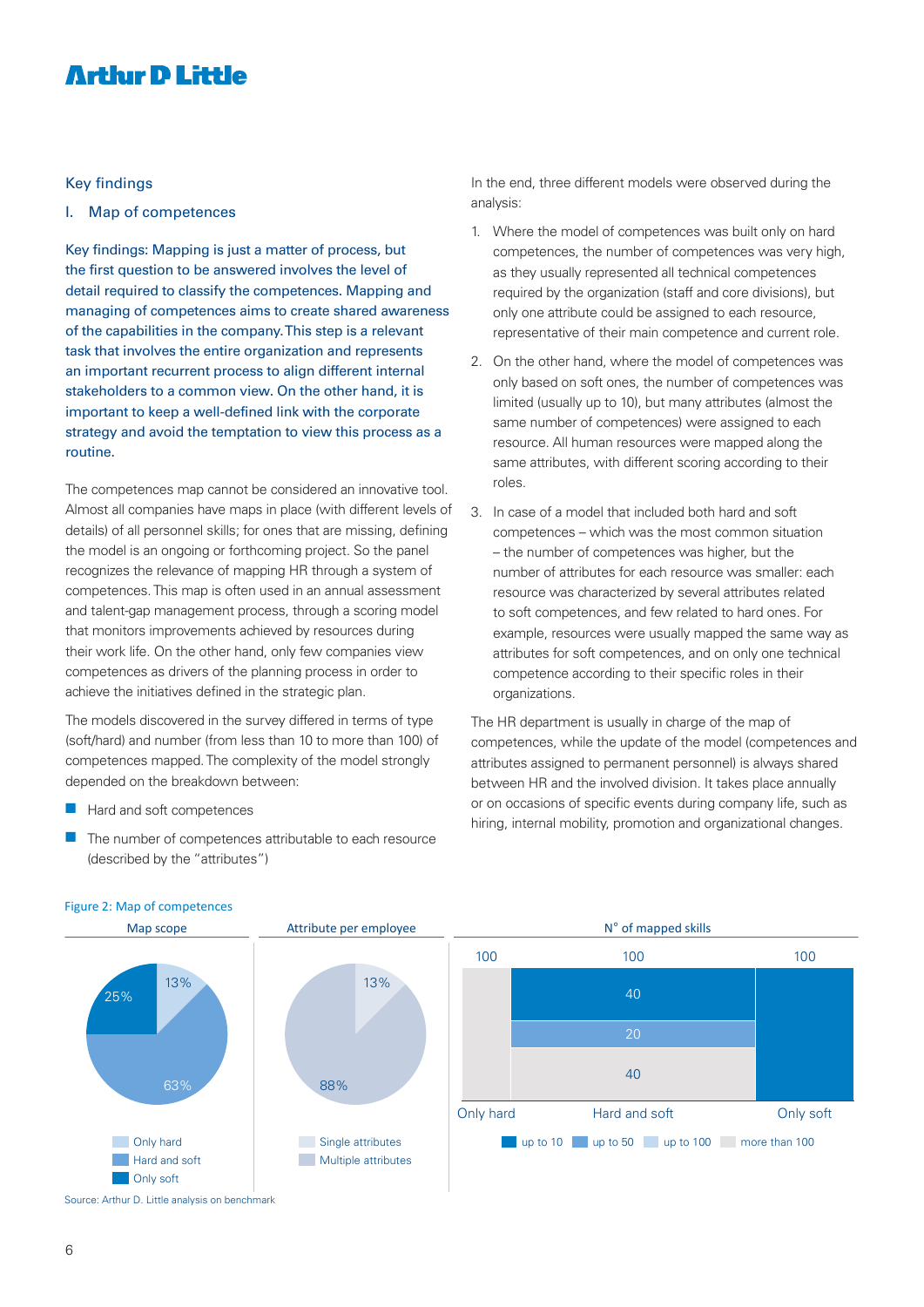### **Arthur D Little**

#### Key findings

I. Map of competences

Key findings: Mapping is just a matter of process, but the first question to be answered involves the level of detail required to classify the competences. Mapping and managing of competences aims to create shared awareness of the capabilities in the company. This step is a relevant task that involves the entire organization and represents an important recurrent process to align different internal stakeholders to a common view. On the other hand, it is important to keep a well-defined link with the corporate strategy and avoid the temptation to view this process as a routine.

The competences map cannot be considered an innovative tool. Almost all companies have maps in place (with different levels of details) of all personnel skills; for ones that are missing, defining the model is an ongoing or forthcoming project. So the panel recognizes the relevance of mapping HR through a system of competences. This map is often used in an annual assessment and talent-gap management process, through a scoring model that monitors improvements achieved by resources during their work life. On the other hand, only few companies view competences as drivers of the planning process in order to achieve the initiatives defined in the strategic plan.

The models discovered in the survey differed in terms of type (soft/hard) and number (from less than 10 to more than 100) of competences mapped. The complexity of the model strongly depended on the breakdown between:

- $\blacksquare$  Hard and soft competences
- $\blacksquare$  The number of competences attributable to each resource (described by the "attributes")

In the end, three different models were observed during the analysis:

- 1. Where the model of competences was built only on hard competences, the number of competences was very high, as they usually represented all technical competences required by the organization (staff and core divisions), but only one attribute could be assigned to each resource, representative of their main competence and current role.
- 2. On the other hand, where the model of competences was only based on soft ones, the number of competences was limited (usually up to 10), but many attributes (almost the same number of competences) were assigned to each resource. All human resources were mapped along the same attributes, with different scoring according to their roles.
- 3. In case of a model that included both hard and soft competences – which was the most common situation – the number of competences was higher, but the number of attributes for each resource was smaller: each resource was characterized by several attributes related to soft competences, and few related to hard ones. For example, resources were usually mapped the same way as attributes for soft competences, and on only one technical competence according to their specific roles in their organizations.

The HR department is usually in charge of the map of competences, while the update of the model (competences and attributes assigned to permanent personnel) is always shared between HR and the involved division. It takes place annually or on occasions of specific events during company life, such as hiring, internal mobility, promotion and organizational changes.



#### Figure 2: Map of competences

Source: Arthur D. Little analysis on benchmark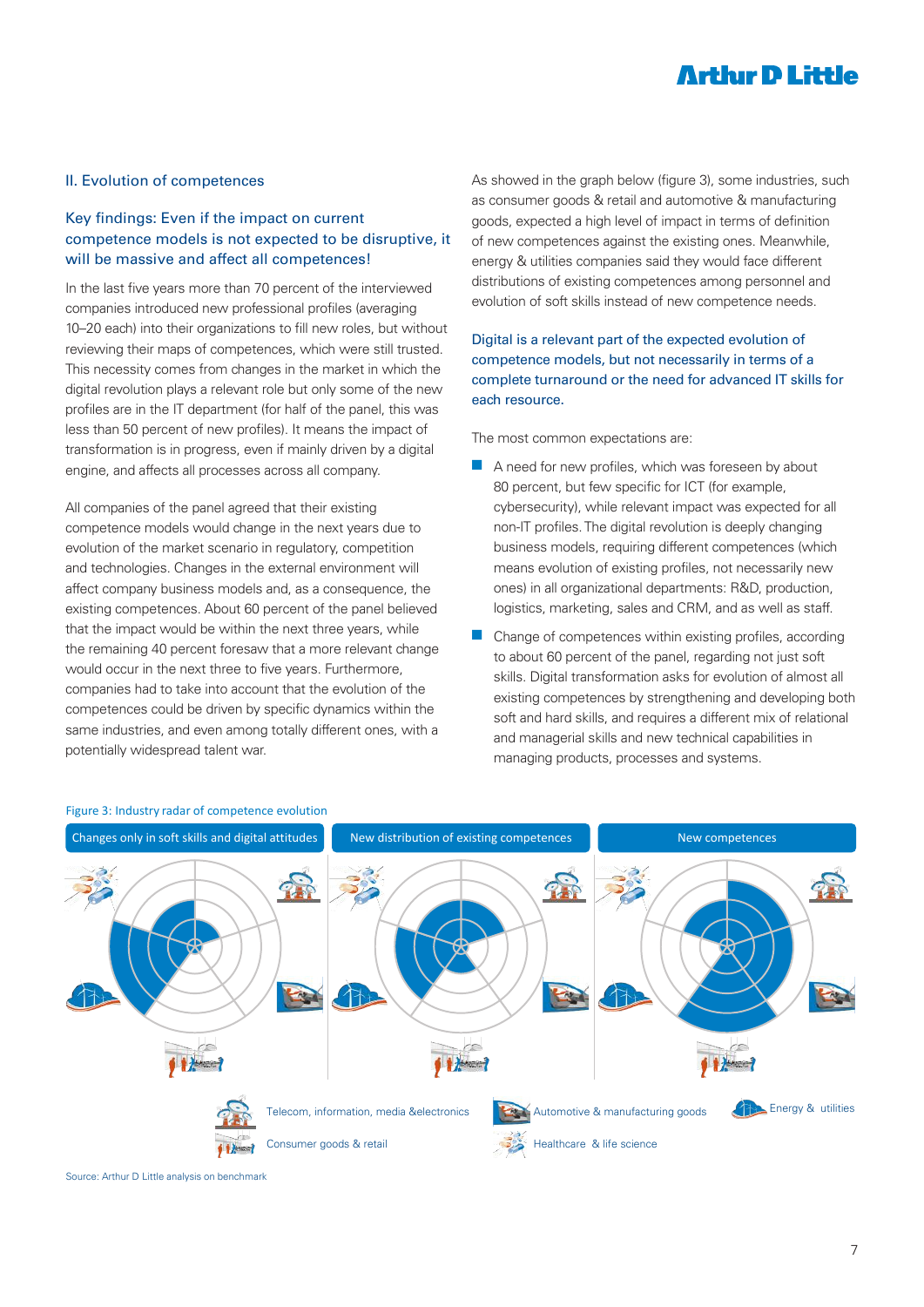### **Arthır D Little**

#### II. Evolution of competences

#### Key findings: Even if the impact on current competence models is not expected to be disruptive, it will be massive and affect all competences!

In the last five years more than 70 percent of the interviewed companies introduced new professional profiles (averaging 10–20 each) into their organizations to fill new roles, but without reviewing their maps of competences, which were still trusted. This necessity comes from changes in the market in which the digital revolution plays a relevant role but only some of the new profiles are in the IT department (for half of the panel, this was less than 50 percent of new profiles). It means the impact of transformation is in progress, even if mainly driven by a digital engine, and affects all processes across all company.

All companies of the panel agreed that their existing competence models would change in the next years due to evolution of the market scenario in regulatory, competition and technologies. Changes in the external environment will affect company business models and, as a consequence, the existing competences. About 60 percent of the panel believed that the impact would be within the next three years, while the remaining 40 percent foresaw that a more relevant change would occur in the next three to five years. Furthermore, companies had to take into account that the evolution of the competences could be driven by specific dynamics within the same industries, and even among totally different ones, with a potentially widespread talent war.

As showed in the graph below (figure 3), some industries, such as consumer goods & retail and automotive & manufacturing goods, expected a high level of impact in terms of definition of new competences against the existing ones. Meanwhile, energy & utilities companies said they would face different distributions of existing competences among personnel and evolution of soft skills instead of new competence needs.

#### Digital is a relevant part of the expected evolution of competence models, but not necessarily in terms of a complete turnaround or the need for advanced IT skills for each resource.

The most common expectations are:

- $\blacksquare$  A need for new profiles, which was foreseen by about 80 percent, but few specific for ICT (for example, cybersecurity), while relevant impact was expected for all non-IT profiles. The digital revolution is deeply changing business models, requiring different competences (which means evolution of existing profiles, not necessarily new ones) in all organizational departments: R&D, production, logistics, marketing, sales and CRM, and as well as staff.
- $\blacksquare$  Change of competences within existing profiles, according to about 60 percent of the panel, regarding not just soft skills. Digital transformation asks for evolution of almost all existing competences by strengthening and developing both soft and hard skills, and requires a different mix of relational and managerial skills and new technical capabilities in managing products, processes and systems.



#### Figure 3: Industry radar of competence evolution

Source: Arthur D Little analysis on benchmark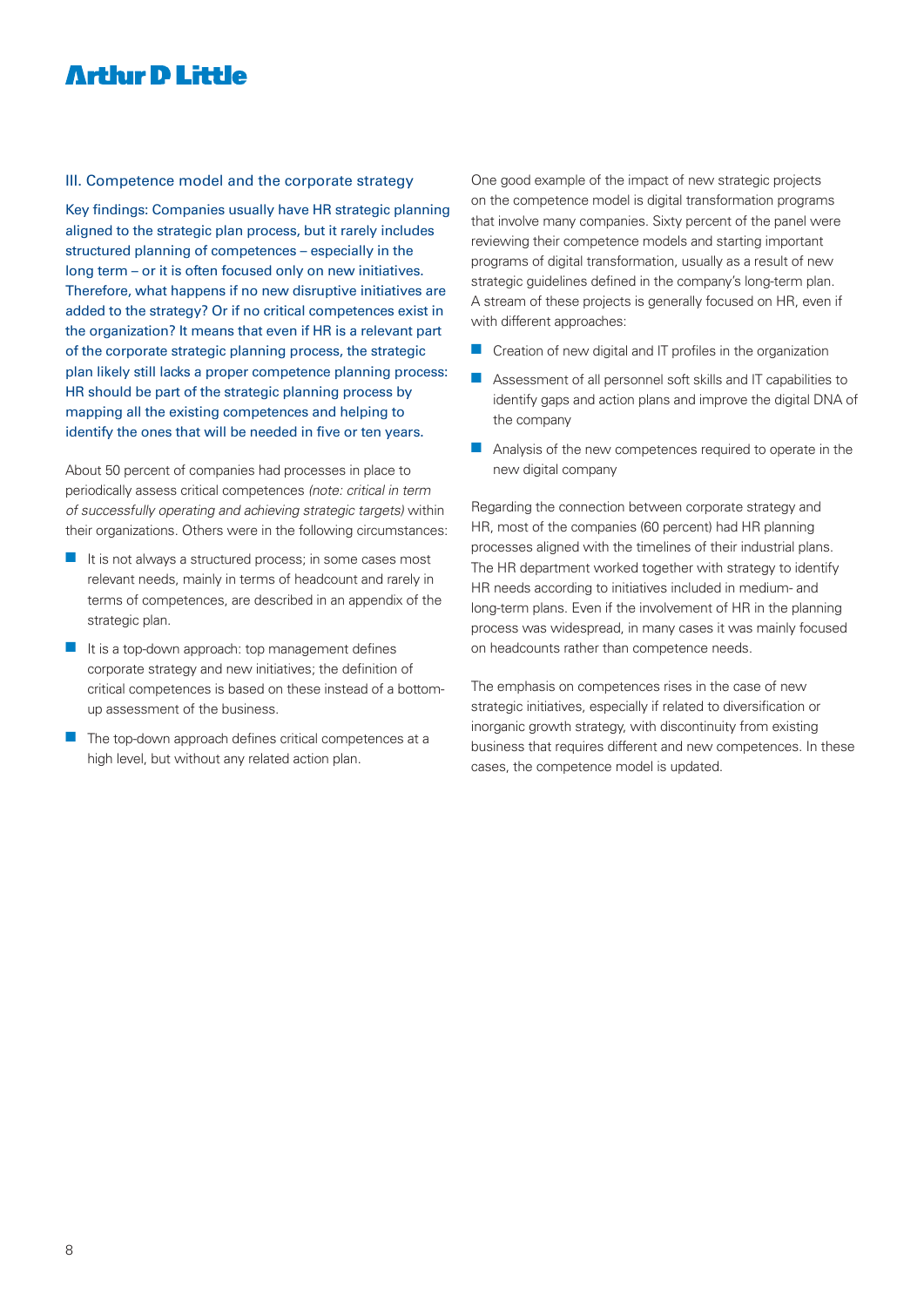### **Arthur D Little**

#### III. Competence model and the corporate strategy

Key findings: Companies usually have HR strategic planning aligned to the strategic plan process, but it rarely includes structured planning of competences – especially in the long term – or it is often focused only on new initiatives. Therefore, what happens if no new disruptive initiatives are added to the strategy? Or if no critical competences exist in the organization? It means that even if HR is a relevant part of the corporate strategic planning process, the strategic plan likely still lacks a proper competence planning process: HR should be part of the strategic planning process by mapping all the existing competences and helping to identify the ones that will be needed in five or ten years.

About 50 percent of companies had processes in place to periodically assess critical competences (note: critical in term of successfully operating and achieving strategic targets) within their organizations. Others were in the following circumstances:

- $\blacksquare$  It is not always a structured process; in some cases most relevant needs, mainly in terms of headcount and rarely in terms of competences, are described in an appendix of the strategic plan.
- $\blacksquare$  It is a top-down approach: top management defines corporate strategy and new initiatives; the definition of critical competences is based on these instead of a bottomup assessment of the business.
- The top-down approach defines critical competences at a high level, but without any related action plan.

One good example of the impact of new strategic projects on the competence model is digital transformation programs that involve many companies. Sixty percent of the panel were reviewing their competence models and starting important programs of digital transformation, usually as a result of new strategic guidelines defined in the company's long-term plan. A stream of these projects is generally focused on HR, even if with different approaches:

- $\blacksquare$  Creation of new digital and IT profiles in the organization
- $\blacksquare$  Assessment of all personnel soft skills and IT capabilities to identify gaps and action plans and improve the digital DNA of the company
- $\blacksquare$  Analysis of the new competences required to operate in the new digital company

Regarding the connection between corporate strategy and HR, most of the companies (60 percent) had HR planning processes aligned with the timelines of their industrial plans. The HR department worked together with strategy to identify HR needs according to initiatives included in medium- and long-term plans. Even if the involvement of HR in the planning process was widespread, in many cases it was mainly focused on headcounts rather than competence needs.

The emphasis on competences rises in the case of new strategic initiatives, especially if related to diversification or inorganic growth strategy, with discontinuity from existing business that requires different and new competences. In these cases, the competence model is updated.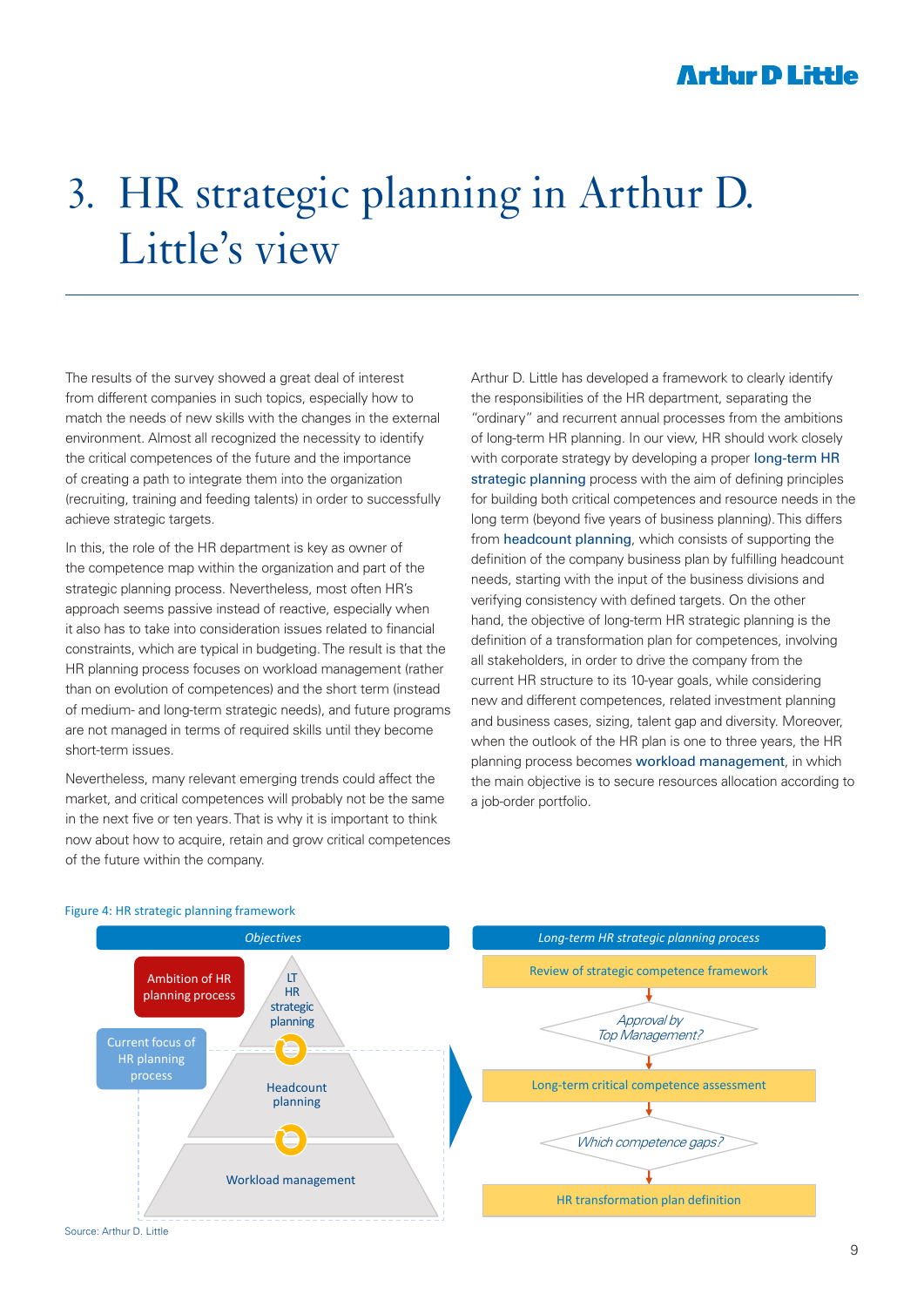### **Arthır D Little**

## 3. HR strategic planning in Arthur D. Little's view

The results of the survey showed a great deal of interest from different companies in such topics, especially how to match the needs of new skills with the changes in the external environment. Almost all recognized the necessity to identify the critical competences of the future and the importance of creating a path to integrate them into the organization (recruiting, training and feeding talents) in order to successfully achieve strategic targets.

In this, the role of the HR department is key as owner of the competence map within the organization and part of the strategic planning process. Nevertheless, most often HR's approach seems passive instead of reactive, especially when it also has to take into consideration issues related to financial constraints, which are typical in budgeting. The result is that the HR planning process focuses on workload management (rather than on evolution of competences) and the short term (instead of medium- and long-term strategic needs), and future programs are not managed in terms of required skills until they become short-term issues.

Nevertheless, many relevant emerging trends could affect the market, and critical competences will probably not be the same in the next five or ten years. That is why it is important to think now about how to acquire, retain and grow critical competences of the future within the company.

Arthur D. Little has developed a framework to clearly identify the responsibilities of the HR department, separating the "ordinary" and recurrent annual processes from the ambitions of long-term HR planning. In our view, HR should work closely with corporate strategy by developing a proper long-term HR strategic planning process with the aim of defining principles for building both critical competences and resource needs in the long term (beyond five years of business planning). This differs from headcount planning, which consists of supporting the definition of the company business plan by fulfilling headcount needs, starting with the input of the business divisions and verifying consistency with defined targets. On the other hand, the objective of long-term HR strategic planning is the definition of a transformation plan for competences, involving all stakeholders, in order to drive the company from the current HR structure to its 10-year goals, while considering new and different competences, related investment planning and business cases, sizing, talent gap and diversity. Moreover, when the outlook of the HR plan is one to three years, the HR planning process becomes workload management, in which the main objective is to secure resources allocation according to a job-order portfolio.



#### Figure 4: HR strategic planning framework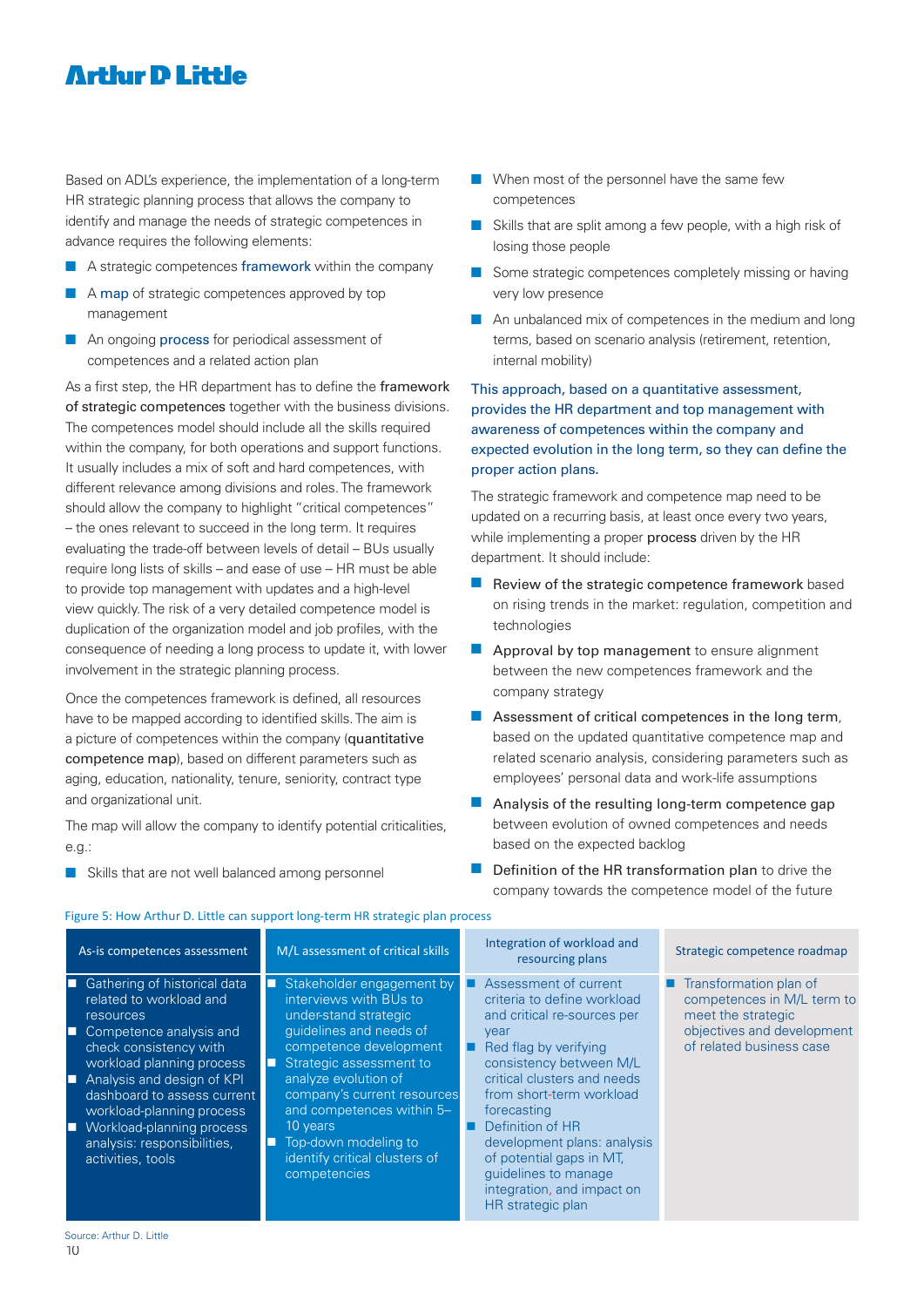### **Arthir D Little**

Based on ADL's experience, the implementation of a long-term HR strategic planning process that allows the company to identify and manage the needs of strategic competences in advance requires the following elements:

- $\blacksquare$  A strategic competences framework within the company
- $\blacksquare$  A map of strategic competences approved by top management
- **n** An ongoing process for periodical assessment of competences and a related action plan

As a first step, the HR department has to define the framework of strategic competences together with the business divisions. The competences model should include all the skills required within the company, for both operations and support functions. It usually includes a mix of soft and hard competences, with different relevance among divisions and roles. The framework should allow the company to highlight "critical competences" – the ones relevant to succeed in the long term. It requires evaluating the trade-off between levels of detail – BUs usually require long lists of skills – and ease of use – HR must be able to provide top management with updates and a high-level view quickly. The risk of a very detailed competence model is duplication of the organization model and job profiles, with the consequence of needing a long process to update it, with lower involvement in the strategic planning process.

Once the competences framework is defined, all resources have to be mapped according to identified skills. The aim is a picture of competences within the company (quantitative competence map), based on different parameters such as aging, education, nationality, tenure, seniority, contract type and organizational unit.

The map will allow the company to identify potential criticalities, e.g.:

**n** Skills that are not well balanced among personnel

- $\blacksquare$  When most of the personnel have the same few competences
- $\blacksquare$  Skills that are split among a few people, with a high risk of losing those people
- **n** Some strategic competences completely missing or having very low presence
- $\blacksquare$  An unbalanced mix of competences in the medium and long terms, based on scenario analysis (retirement, retention, internal mobility)

#### This approach, based on a quantitative assessment, provides the HR department and top management with awareness of competences within the company and expected evolution in the long term, so they can define the proper action plans.

The strategic framework and competence map need to be updated on a recurring basis, at least once every two years, while implementing a proper process driven by the HR department. It should include:

- $\blacksquare$  Review of the strategic competence framework based on rising trends in the market: regulation, competition and technologies
- $\blacksquare$  Approval by top management to ensure alignment between the new competences framework and the company strategy
- $\blacksquare$  Assessment of critical competences in the long term, based on the updated quantitative competence map and related scenario analysis, considering parameters such as employees' personal data and work-life assumptions
- $\blacksquare$  Analysis of the resulting long-term competence gap between evolution of owned competences and needs based on the expected backlog
- $\blacksquare$  Definition of the HR transformation plan to drive the company towards the competence model of the future

| As-is competences assessment                                                                                                                                                                                                                                                                                                                                 | M/L assessment of critical skills                                                                                                                                                                                                                                                                                                          | Integration of workload and<br>resourcing plans                                                                                                                                                                                                                                                                                                                                     | Strategic competence roadmap                                                                                                         |
|--------------------------------------------------------------------------------------------------------------------------------------------------------------------------------------------------------------------------------------------------------------------------------------------------------------------------------------------------------------|--------------------------------------------------------------------------------------------------------------------------------------------------------------------------------------------------------------------------------------------------------------------------------------------------------------------------------------------|-------------------------------------------------------------------------------------------------------------------------------------------------------------------------------------------------------------------------------------------------------------------------------------------------------------------------------------------------------------------------------------|--------------------------------------------------------------------------------------------------------------------------------------|
| Gathering of historical data<br>п<br>related to workload and<br><b>resources</b><br>Competence analysis and<br>П<br>check consistency with<br>workload planning process<br>Analysis and design of KPI<br>П<br>dashboard to assess current<br>workload-planning process<br>Workload-planning process<br>П<br>analysis: responsibilities,<br>activities, tools | Stakeholder engagement by<br>о<br>interviews with BUs to<br>under-stand strategic<br>quidelines and needs of<br>competence development<br>Strategic assessment to<br>analyze evolution of<br>company's current resources<br>and competences within 5-<br>10 years<br>Top-down modeling to<br>identify critical clusters of<br>competencies | Assessment of current<br>criteria to define workload<br>and critical re-sources per<br>year<br>Red flag by verifying<br>consistency between M/L<br>critical clusters and needs<br>from short-term workload<br>forecasting<br>Definition of HR<br>development plans: analysis<br>of potential gaps in MT.<br>quidelines to manage<br>integration, and impact on<br>HR strategic plan | Transformation plan of<br>competences in M/L term to<br>meet the strategic<br>objectives and development<br>of related business case |

#### Figure 5: How Arthur D. Little can support long-term HR strategic plan process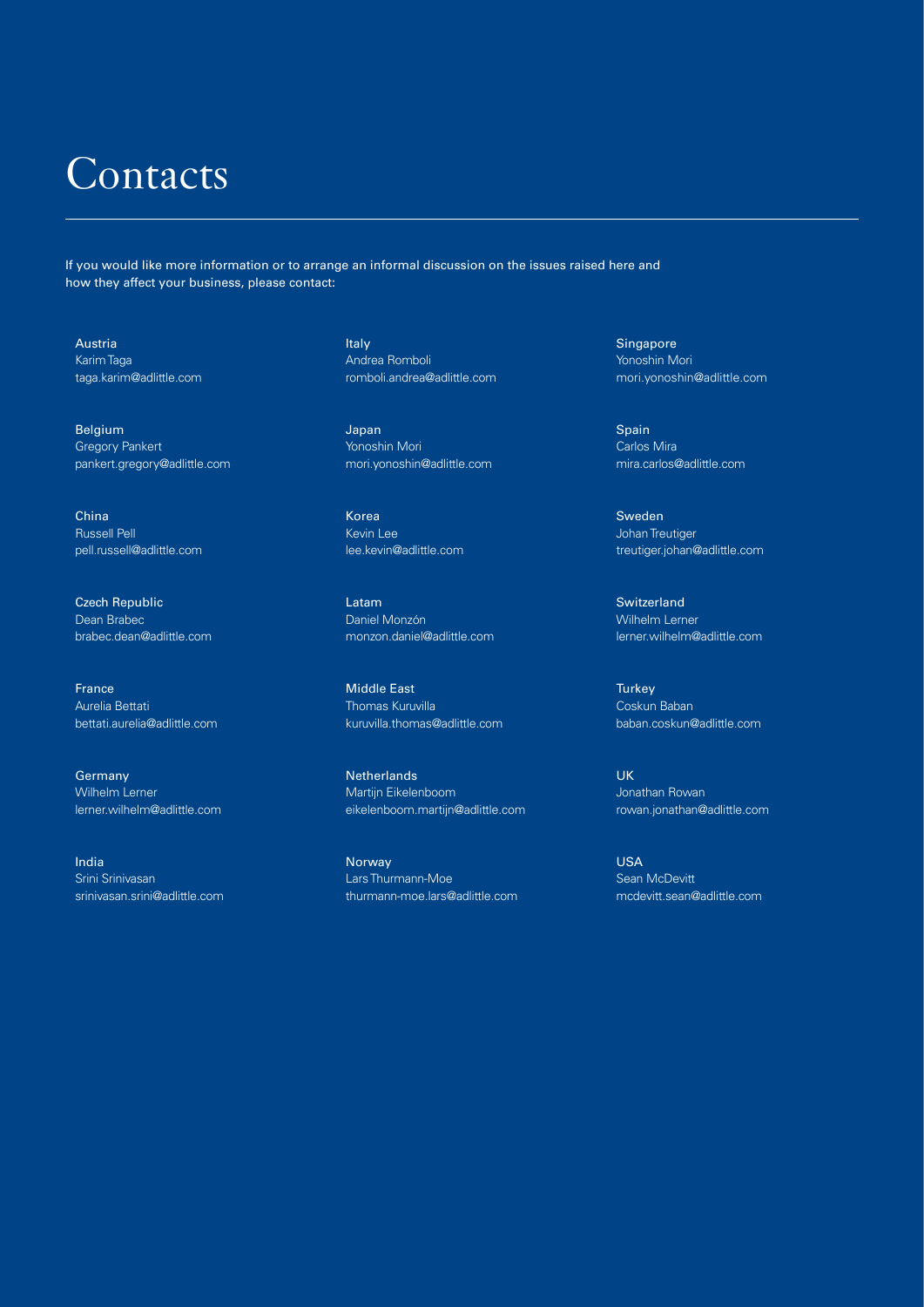## Contacts

If you would like more information or to arrange an informal discussion on the issues raised here and how they affect your business, please contact:

Austria Karim Taga taga.karim@adlittle.com

Belgium Gregory Pankert pankert.gregory@adlittle.com

China Russell Pell pell.russell@adlittle.com

Czech Republic Dean Brabec brabec.dean@adlittle.com

France Aurelia Bettati bettati.aurelia@adlittle.com

**Germany** Wilhelm Lerner lerner.wilhelm@adlittle.com

India Srini Srinivasan srinivasan.srini@adlittle.com Italy Andrea Romboli romboli.andrea@adlittle.com

Japan Yonoshin Mori mori.yonoshin@adlittle.com

Korea Kevin Lee lee.kevin@adlittle.com

Latam Daniel Monzón monzon.daniel@adlittle.com

Middle East Thomas Kuruvilla kuruvilla.thomas@adlittle.com

**Netherlands** Martijn Eikelenboom eikelenboom.martijn@adlittle.com

Norway Lars Thurmann-Moe thurmann-moe.lars@adlittle.com Singapore Yonoshin Mori mori.yonoshin@adlittle.com

Spain Carlos Mira mira.carlos@adlittle.com

Sweden Johan Treutiger treutiger.johan@adlittle.com

**Switzerland** Wilhelm Lerner lerner.wilhelm@adlittle.com

**Turkey** Coskun Baban baban.coskun@adlittle.com

UK Jonathan Rowan rowan.jonathan@adlittle.com

USA Sean McDevitt mcdevitt.sean@adlittle.com